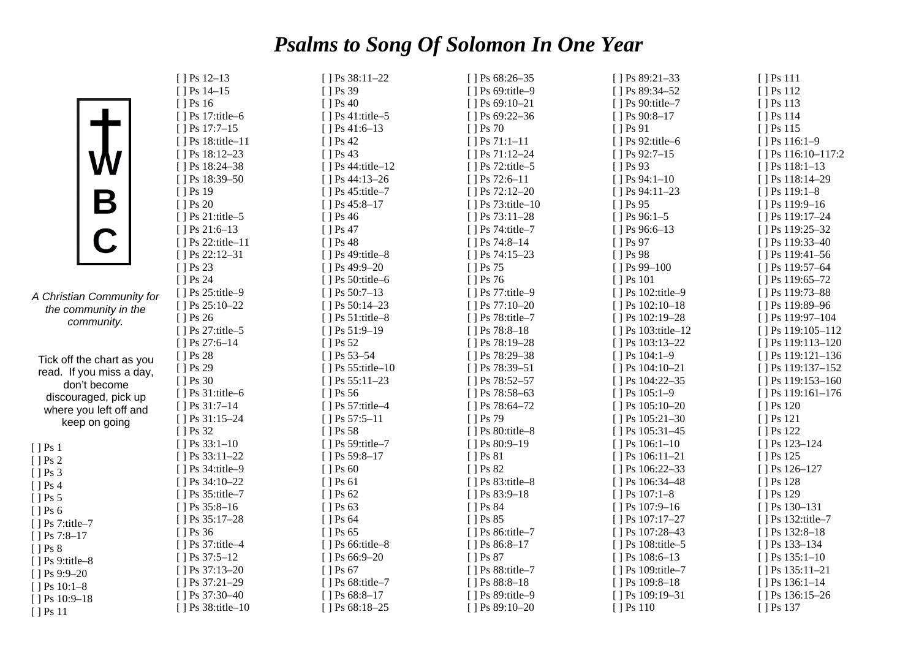## *Psalms to Song Of Solomon In One Year*

[ ] Ps 111 [ ] Ps 112 [ ] Ps 113 [ ] Ps 114 [ ] Ps 115 [ ] Ps 116:1–9 [ ] Ps 116:10-117:2 [ ] Ps 118:1-13 [ ] Ps 118:14-29 [ ] Ps 119:1–8 [ ] Ps 119:9-16 [ ] Ps 119:17-24 [ ] Ps 119:25–32 [ ] Ps 119:33-40 [ ] Ps 119:41-56 [ ] Ps 119:57–64 [ ] Ps 119:65-72 [ ] Ps 119:73–88 [ ] Ps 119:89-96 [ ] Ps 119:97-104 [ ] Ps 119:105-112 [ ] Ps 119:113-120 [ ] Ps 119:121-136 [ ] Ps 119:137–152 [ ] Ps 119:153-160 [ ] Ps 119:161-176

[ ] Ps 120 [ ] Ps 121 [ ] Ps 122 [ ] Ps 123-124 [ ] Ps 125 [ ] Ps 126-127 [ ] Ps 128 [ ] Ps 129 [ ] Ps 130–131 [ ] Ps 132:title-7 [ ] Ps 132:8-18 [ ] Ps 133–134 [ ] Ps 135:1-10 [ ] Ps 135:11–21 [ ] Ps 136:1-14 [ ] Ps 136:15-26 [ ] Ps 137

|                           | $[ ]$ Ps 12-13     | $[ ]$ Ps 38:11-22  | $[ ]$ Ps 68:26-35  | $[ ]$ Ps 89:21-33  |
|---------------------------|--------------------|--------------------|--------------------|--------------------|
|                           | $[$ ] Ps 14-15     | [] Ps 39           | [ ] Ps 69:title-9  | $[ ]$ Ps 89:34-52  |
|                           | $[$ ] Ps 16        | $[$ ] Ps 40        | $[ ]$ Ps 69:10-21  | [] Ps 90:title-7   |
|                           | [ ] Ps 17:title-6  | [ ] Ps 41:title-5  | [] Ps 69:22-36     | $[$ ] Ps 90:8-17   |
|                           | [] Ps 17:7-15      | $[ ]$ Ps 41:6-13   | [ ] Ps 70          | [ ] Ps 91          |
|                           | [ ] Ps 18:title-11 | $[$ ] Ps 42        | $[ ]$ Ps 71:1-11   | [ ] Ps 92:title-6  |
|                           | $[$ ] Ps 18:12-23  | $[$ ] Ps 43        | $[ ]$ Ps 71:12-24  | $[ ]$ Ps 92:7-15   |
|                           | [] Ps 18:24-38     | [ ] Ps 44:title-12 | [ ] Ps 72:title-5  | $[$ ] Ps 93        |
|                           | $[$ ] Ps 18:39-50  | $[ ]$ Ps 44:13-26  | $[ ]$ Ps 72:6-11   | [] Ps 94:1-10      |
|                           | [ ] Ps 19          | [ ] Ps 45:title-7  | $[$ ] Ps 72:12-20  | $[ ]$ Ps 94:11-23  |
| B                         | $[$ ] Ps 20        | $[$ ] Ps 45:8-17   | [ ] Ps 73:title-10 | [] Ps 95           |
|                           | [ ] Ps 21:title-5  | $[$ ] Ps 46        | $[ ]$ Ps 73:11-28  | $[ ]$ Ps 96:1-5    |
|                           | $[ ]$ Ps 21:6-13   | $[$ ] Ps 47        | [ ] Ps 74:title-7  | $[ ]$ Ps 96:6-13   |
|                           | [ ] Ps 22:title-11 | $[$ ] Ps 48        | $[$ ] Ps 74:8-14   | $[$ ] Ps 97        |
|                           | $[ ]$ Ps 22:12-31  | [] Ps 49:title-8   | $[ ]$ Ps 74:15-23  | $[$ ] Ps 98        |
|                           | [ ] Ps 23          | $[ ]$ Ps 49:9-20   | [] Ps 75           | [] Ps 99-100       |
|                           | [] Ps 24           | [ ] Ps 50:title-6  | [] Ps 76           | [ ] Ps 101         |
| A Christian Community for | [ ] Ps 25:title-9  | $[ ]$ Ps 50:7-13   | [ ] Ps 77:title-9  | [ ] Ps 102:title-9 |
| the community in the      | $[ ]$ Ps 25:10-22  | $[ ]$ Ps 50:14-23  | $[ ]$ Ps 77:10-20  | [ ] Ps 102:10-18   |
| community.                | [ ] Ps 26          | [ ] Ps 51:title-8  | [ ] Ps 78:title-7  | $[$ ] Ps 102:19-28 |
|                           | [ ] Ps 27:title-5  | [] Ps 51:9-19      | $[$ ] Ps 78:8-18   | [] Ps 103:title-12 |
|                           | $[$ ] Ps 27:6-14   | $[$ ] Ps 52        | [] Ps 78:19-28     | [] Ps 103:13-22    |
| Tick off the chart as you | $[$ ] Ps 28        | [] Ps 53-54        | [] Ps 78:29-38     | $[ ]$ Ps 104:1-9   |
| read. If you miss a day,  | $[$ ] Ps 29        | [] Ps 55:title-10  | [] Ps 78:39-51     | $[$ ] Ps 104:10-21 |
| don't become              | [ ] Ps 30          | [] Ps 55:11-23     | [] Ps 78:52-57     | [] Ps 104:22-35    |
| discouraged, pick up      | [ ] Ps 31:title-6  | $[$ ] Ps 56        | [] Ps 78:58-63     | $[ ]$ Ps 105:1-9   |
| where you left off and    | $[ ]$ Ps 31:7-14   | [ ] Ps 57:title-4  | [] Ps 78:64-72     | [] Ps 105:10-20    |
| keep on going             | [] Ps 31:15-24     | $[ ]$ Ps 57:5-11   | [] Ps 79           | [] Ps 105:21-30    |
|                           | $[$ ] Ps 32        | $[$ ] Ps 58        | [ ] Ps 80:title-8  | $[$ ] Ps 105:31-45 |
| $[]$ Ps 1                 | [ ] Ps 33:1-10     | [ ] Ps 59:title-7  | [] Ps 80:9-19      | $[ ]$ Ps 106:1-10  |
| $[$ ] Ps 2                | $[ ]$ Ps 33:11-22  | $[ ]$ Ps 59:8-17   | [] Ps 81           | $[ ]$ Ps 106:11-21 |
| $[]$ Ps 3                 | [ ] Ps 34:title-9  | $[$ ] Ps 60        | $[$ ] Ps 82        | $[ ]$ Ps 106:22-33 |
| $[$ ] Ps 4                | [] Ps 34:10-22     | $[$ ] Ps 61        | [ ] Ps 83:title-8  | [] Ps 106:34-48    |
| $[$ ] Ps 5                | [ ] Ps 35:title-7  | $[$ ] Ps 62        | $[ ]$ Ps 83:9-18   | $[$ ] Ps 107:1-8   |
| $[$ ] Ps 6                | $[ ]$ Ps 35:8-16   | $[$ ] Ps 63        | $[$ ] Ps 84        | $[$ ] Ps 107:9-16  |
| [ ] Ps 7:title-7          | [] Ps $35:17-28$   | $[$ ] Ps 64        | [ ] Ps 85          | $[$ ] Ps 107:17-27 |
| $[$ ] Ps 7:8-17           | $[$ ] Ps 36        | $[$ ] Ps 65        | [] Ps 86:title-7   | $[ ]$ Ps 107:28-43 |
| $[$ ] Ps 8                | [ ] Ps 37:title-4  | [ ] Ps 66:title-8  | $[ ]$ Ps 86:8-17   | [ ] Ps 108:title-5 |
| [ ] Ps 9:title-8          | [] Ps 37:5-12      | $[ ]$ Ps 66:9-20   | [] Ps 87           | $[$ ] Ps 108:6-13  |
| $[ ]$ Ps 9:9-20           | [] Ps 37:13-20     | $[$ ] Ps 67        | [ ] Ps 88:title-7  | [ ] Ps 109:title-7 |
| $[$ ] Ps 10:1-8           | [] Ps 37:21-29     | [ ] Ps 68:title-7  | $[ ]$ Ps 88:8-18   | [] Ps 109:8-18     |
| [] Ps 10:9-18             | $[$ ] Ps 37:30-40  | $[ ]$ Ps 68:8-17   | [ ] Ps 89:title-9  | [] Ps 109:19-31    |
| [ ] Ps 11                 | [ ] Ps 38:title-10 | $[ ]$ Ps 68:18-25  | $[ ]$ Ps 89:10-20  | [ ] Ps 110         |